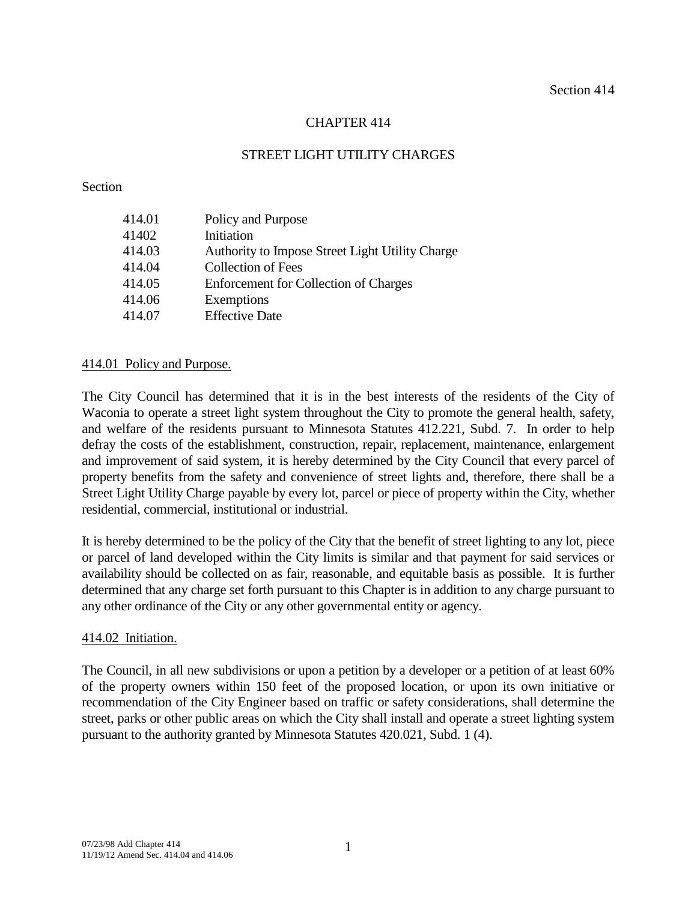# CHAPTER 414

### STREET LIGHT UTILITY CHARGES

#### Section

| 414.01 | Policy and Purpose                              |
|--------|-------------------------------------------------|
| 41402  | Initiation                                      |
| 414.03 | Authority to Impose Street Light Utility Charge |
| 414.04 | <b>Collection of Fees</b>                       |
| 414.05 | <b>Enforcement for Collection of Charges</b>    |
| 414.06 | Exemptions                                      |
| 414.07 | <b>Effective Date</b>                           |

### 414.01 Policy and Purpose.

The City Council has determined that it is in the best interests of the residents of the City of Waconia to operate a street light system throughout the City to promote the general health, safety, and welfare of the residents pursuant to Minnesota Statutes 412.221, Subd. 7. In order to help defray the costs of the establishment, construction, repair, replacement, maintenance, enlargement and improvement of said system, it is hereby determined by the City Council that every parcel of property benefits from the safety and convenience of street lights and, therefore, there shall be a Street Light Utility Charge payable by every lot, parcel or piece of property within the City, whether residential, commercial, institutional or industrial.

It is hereby determined to be the policy of the City that the benefit of street lighting to any lot, piece or parcel of land developed within the City limits is similar and that payment for said services or availability should be collected on as fair, reasonable, and equitable basis as possible. It is further determined that any charge set forth pursuant to this Chapter is in addition to any charge pursuant to any other ordinance of the City or any other governmental entity or agency.

### 414.02 Initiation.

The Council, in all new subdivisions or upon a petition by a developer or a petition of at least 60% of the property owners within 150 feet of the proposed location, or upon its own initiative or recommendation of the City Engineer based on traffic or safety considerations, shall determine the street, parks or other public areas on which the City shall install and operate a street lighting system pursuant to the authority granted by Minnesota Statutes 420.021, Subd. 1 (4).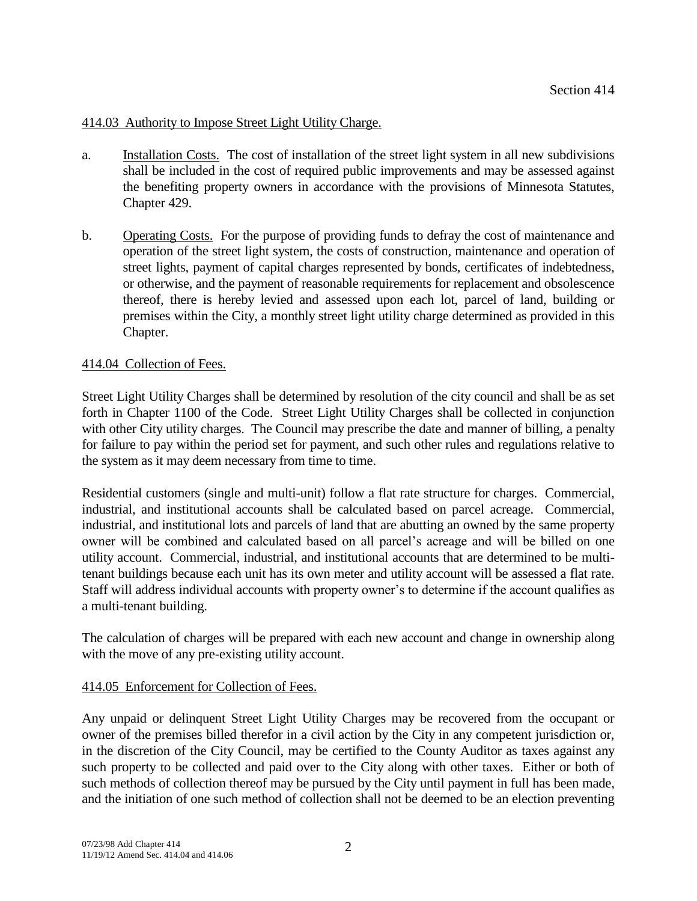# 414.03 Authority to Impose Street Light Utility Charge.

- a. Installation Costs. The cost of installation of the street light system in all new subdivisions shall be included in the cost of required public improvements and may be assessed against the benefiting property owners in accordance with the provisions of Minnesota Statutes, Chapter 429.
- b. Operating Costs. For the purpose of providing funds to defray the cost of maintenance and operation of the street light system, the costs of construction, maintenance and operation of street lights, payment of capital charges represented by bonds, certificates of indebtedness, or otherwise, and the payment of reasonable requirements for replacement and obsolescence thereof, there is hereby levied and assessed upon each lot, parcel of land, building or premises within the City, a monthly street light utility charge determined as provided in this Chapter.

# 414.04 Collection of Fees.

Street Light Utility Charges shall be determined by resolution of the city council and shall be as set forth in Chapter 1100 of the Code. Street Light Utility Charges shall be collected in conjunction with other City utility charges. The Council may prescribe the date and manner of billing, a penalty for failure to pay within the period set for payment, and such other rules and regulations relative to the system as it may deem necessary from time to time.

Residential customers (single and multi-unit) follow a flat rate structure for charges. Commercial, industrial, and institutional accounts shall be calculated based on parcel acreage. Commercial, industrial, and institutional lots and parcels of land that are abutting an owned by the same property owner will be combined and calculated based on all parcel's acreage and will be billed on one utility account. Commercial, industrial, and institutional accounts that are determined to be multitenant buildings because each unit has its own meter and utility account will be assessed a flat rate. Staff will address individual accounts with property owner's to determine if the account qualifies as a multi-tenant building.

The calculation of charges will be prepared with each new account and change in ownership along with the move of any pre-existing utility account.

### 414.05 Enforcement for Collection of Fees.

Any unpaid or delinquent Street Light Utility Charges may be recovered from the occupant or owner of the premises billed therefor in a civil action by the City in any competent jurisdiction or, in the discretion of the City Council, may be certified to the County Auditor as taxes against any such property to be collected and paid over to the City along with other taxes. Either or both of such methods of collection thereof may be pursued by the City until payment in full has been made, and the initiation of one such method of collection shall not be deemed to be an election preventing